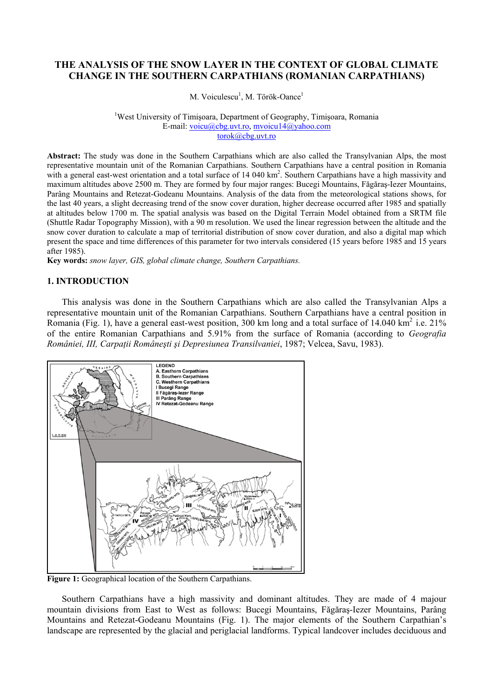## **THE ANALYSIS OF THE SNOW LAYER IN THE CONTEXT OF GLOBAL CLIMATE CHANGE IN THE SOUTHERN CARPATHIANS (ROMANIAN CARPATHIANS)**

M. Voiculescu<sup>1</sup>, M. Török-Oance<sup>1</sup>

<sup>1</sup>West University of Timișoara, Department of Geography, Timișoara, Romania E-mail: [voicu@cbg.uvt.ro,](mailto:voicu@cbg.uvt.ro) [mvoicu14@yahoo.com](mailto:mvoicu14@yahoo.com) [torok@cbg.uvt.ro](mailto:torok@cbg.uvt.ro)

**Abstract:** The study was done in the Southern Carpathians which are also called the Transylvanian Alps, the most representative mountain unit of the Romanian Carpathians. Southern Carpathians have a central position in Romania with a general east-west orientation and a total surface of 14 040 km<sup>2</sup>. Southern Carpathians have a high massivity and maximum altitudes above 2500 m. They are formed by four major ranges: Bucegi Mountains, Făgăraş-Iezer Mountains, Parâng Mountains and Retezat-Godeanu Mountains. Analysis of the data from the meteorological stations shows, for the last 40 years, a slight decreasing trend of the snow cover duration, higher decrease occurred after 1985 and spatially at altitudes below 1700 m. The spatial analysis was based on the Digital Terrain Model obtained from a SRTM file (Shuttle Radar Topography Mission), with a 90 m resolution. We used the linear regression between the altitude and the snow cover duration to calculate a map of territorial distribution of snow cover duration, and also a digital map which present the space and time differences of this parameter for two intervals considered (15 years before 1985 and 15 years after 1985).

**Key words:** *snow layer, GIS, global climate change, Southern Carpathians.*

#### **1. INTRODUCTION**

This analysis was done in the Southern Carpathians which are also called the Transylvanian Alps a representative mountain unit of the Romanian Carpathians. Southern Carpathians have a central position in Romania (Fig. 1), have a general east-west position, 300 km long and a total surface of 14.040 km<sup>2</sup> i.e. 21% of the entire Romanian Carpathians and 5.91% from the surface of Romania (according to *Geografia României, III, Carpaţii Româneşti şi Depresiunea Transilvaniei*, 1987; Velcea, Savu, 1983).



**Figure 1:** Geographical location of the Southern Carpathians.

Southern Carpathians have a high massivity and dominant altitudes. They are made of 4 majour mountain divisions from East to West as follows: Bucegi Mountains, Făgăraş-Iezer Mountains, Parâng Mountains and Retezat-Godeanu Mountains (Fig. 1). The major elements of the Southern Carpathian's landscape are represented by the glacial and periglacial landforms. Typical landcover includes deciduous and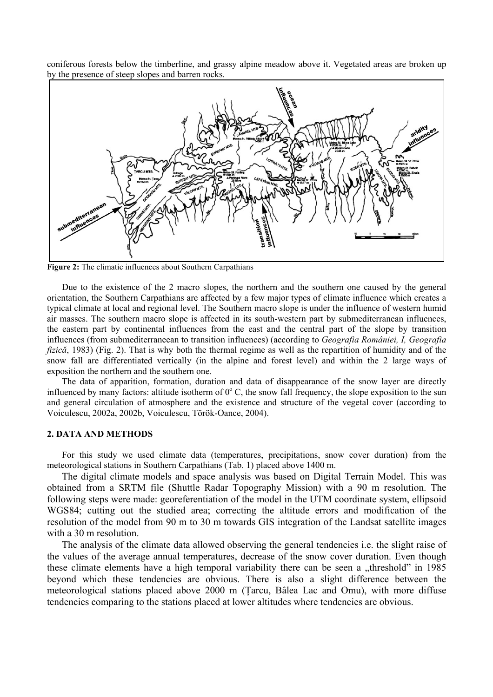coniferous forests below the timberline, and grassy alpine meadow above it. Vegetated areas are broken up by the presence of steep slopes and barren rocks.



**Figure 2:** The climatic influences about Southern Carpathians

Due to the existence of the 2 macro slopes, the northern and the southern one caused by the general orientation, the Southern Carpathians are affected by a few major types of climate influence which creates a typical climate at local and regional level. The Southern macro slope is under the influence of western humid air masses. The southern macro slope is affected in its south-western part by submediterranean influences, the eastern part by continental influences from the east and the central part of the slope by transition influences (from submediterraneean to transition influences) (according to *Geografia României, I, Geografia fizică*, 1983) (Fig. 2). That is why both the thermal regime as well as the repartition of humidity and of the snow fall are differentiated vertically (in the alpine and forest level) and within the 2 large ways of exposition the northern and the southern one.

The data of apparition, formation, duration and data of disappearance of the snow layer are directly influenced by many factors: altitude isotherm of  $0^{\circ}$  C, the snow fall frequency, the slope exposition to the sun and general circulation of atmosphere and the existence and structure of the vegetal cover (according to Voiculescu, 2002a, 2002b, Voiculescu, Török-Oance, 2004).

#### **2. DATA AND METHODS**

For this study we used climate data (temperatures, precipitations, snow cover duration) from the meteorological stations in Southern Carpathians (Tab. 1) placed above 1400 m.

The digital climate models and space analysis was based on Digital Terrain Model. This was obtained from a SRTM file (Shuttle Radar Topography Mission) with a 90 m resolution. The following steps were made: georeferentiation of the model in the UTM coordinate system, ellipsoid WGS84; cutting out the studied area; correcting the altitude errors and modification of the resolution of the model from 90 m to 30 m towards GIS integration of the Landsat satellite images with a 30 m resolution.

The analysis of the climate data allowed observing the general tendencies i.e. the slight raise of the values of the average annual temperatures, decrease of the snow cover duration. Even though these climate elements have a high temporal variability there can be seen a "threshold" in 1985 beyond which these tendencies are obvious. There is also a slight difference between the meteorological stations placed above 2000 m (Ţarcu, Bâlea Lac and Omu), with more diffuse tendencies comparing to the stations placed at lower altitudes where tendencies are obvious.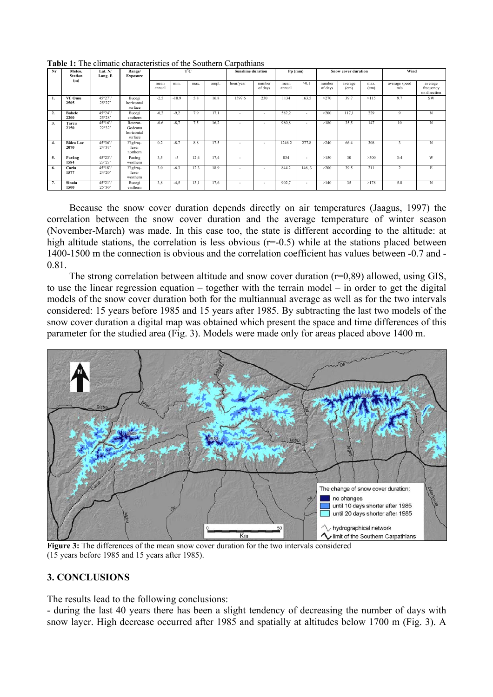| Nr | Meteo.<br><b>Station</b><br>(m) | Lat. N/<br>Long. E        | Range/<br>Exposure                           | $T^{\circ}C$   |         |      |       | <b>Sunshine duration</b> |                   | $Pp$ (mm)      |       | <b>Snow cover duration</b> |                 |              | Wind                     |                                      |
|----|---------------------------------|---------------------------|----------------------------------------------|----------------|---------|------|-------|--------------------------|-------------------|----------------|-------|----------------------------|-----------------|--------------|--------------------------|--------------------------------------|
|    |                                 |                           |                                              | mean<br>annual | min.    | max. | ampl. | hour/year                | number<br>of days | mean<br>annual | >0.1  | number<br>of days          | average<br>(cm) | max.<br>(cm) | average speed<br>m/s     | average<br>frequency<br>on direction |
| 1. | Vf. Omu<br>2505                 | 45°27'/<br>25°27          | Bucegi<br>horizontal<br>surface              | $-2.5$         | $-10.9$ | 5.8  | 16.8  | 1597.6                   | 230               | 1134           | 163.5 | >270                       | 39.7            | >115         | 9.7                      | SW                                   |
| 2. | <b>Babele</b><br>2200           | 45°24'<br>25°28'          | Bucegi<br>easthern                           | $-0.2$         | $-9,2$  | 7,9  | 17,1  | $\overline{a}$           | $\sim$            | 582,2          |       | >200                       | 117,1           | 229          | 9                        | N                                    |
| 3. | Tarcu<br>2150                   | $45^{\circ}16'$<br>22°32' | Retezat-<br>Godeanu<br>horizontal<br>surface | $-0.6$         | $-8,7$  | 7,5  | 16,2  | $\overline{\phantom{a}}$ |                   | 980,8          | ٠     | >180                       | 35,5            | 147          | 10                       | N                                    |
| 4. | Bâlea Lac<br>2070               | 45°36'<br>24°37'          | Făgăraș-<br>lezer<br>northern                | 0.2            | $-8.7$  | 8.8  | 17.5  | $\overline{a}$           |                   | 1246.2         | 277.8 | >240                       | 66.4            | 308          | 3                        | N                                    |
| 5. | Parâng<br>1584                  | 45°23'/<br>23°27'         | Parâng<br>westhern                           | 3,5            | $-5$    | 12,4 | 17,4  | $\overline{a}$           |                   | 834            | ٠     | >150                       | 30              | >300         | $3 - 4$                  | W                                    |
| 6. | Cozia<br>1577                   | 45°18'<br>$24^{\circ}20'$ | Făgăraș-<br>lezer<br>westhern                | 3.0            | $-6.3$  | 12.3 | 18.9  | $\overline{a}$           |                   | 844.2          | 146.3 | >200                       | 39.5            | 211          | $\overline{\mathcal{L}}$ | E                                    |
| 7. | Sinaia<br>1500                  | 45°21'/<br>25°30'         | Bucegi<br>easthern                           | 3,8            | $-4.5$  | 13,1 | 17,6  | $\overline{a}$           |                   | 902,7          | ٠     | >140                       | 35              | >178         | 5.8                      | N                                    |

**Table 1:** The climatic characteristics of the Southern Carpathians

Because the snow cover duration depends directly on air temperatures (Jaagus, 1997) the correlation between the snow cover duration and the average temperature of winter season (November-March) was made. In this case too, the state is different according to the altitude: at high altitude stations, the correlation is less obvious  $(r=0.5)$  while at the stations placed between 1400-1500 m the connection is obvious and the correlation coefficient has values between -0.7 and - 0.81.

The strong correlation between altitude and snow cover duration (r=0,89) allowed, using GIS, to use the linear regression equation – together with the terrain model – in order to get the digital models of the snow cover duration both for the multiannual average as well as for the two intervals considered: 15 years before 1985 and 15 years after 1985. By subtracting the last two models of the snow cover duration a digital map was obtained which present the space and time differences of this parameter for the studied area (Fig. 3). Models were made only for areas placed above 1400 m.



**Figure 3:** The differences of the mean snow cover duration for the two intervals considered (15 years before 1985 and 15 years after 1985).

# **3. CONCLUSIONS**

The results lead to the following conclusions:

- during the last 40 years there has been a slight tendency of decreasing the number of days with snow layer. High decrease occurred after 1985 and spatially at altitudes below 1700 m (Fig. 3). A